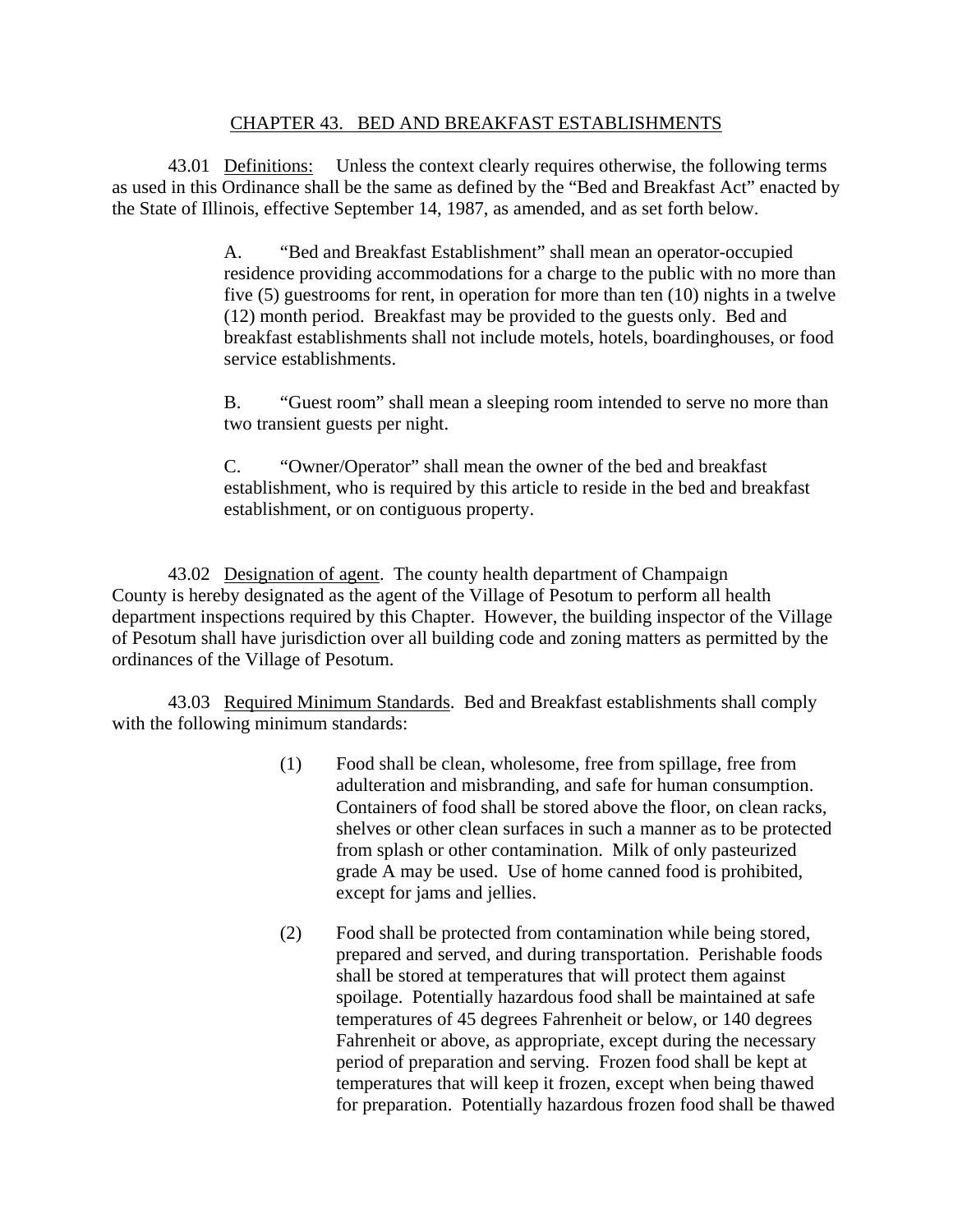## CHAPTER 43. BED AND BREAKFAST ESTABLISHMENTS

 43.01 Definitions: Unless the context clearly requires otherwise, the following terms as used in this Ordinance shall be the same as defined by the "Bed and Breakfast Act" enacted by the State of Illinois, effective September 14, 1987, as amended, and as set forth below.

> A. "Bed and Breakfast Establishment" shall mean an operator-occupied residence providing accommodations for a charge to the public with no more than five (5) guestrooms for rent, in operation for more than ten (10) nights in a twelve (12) month period. Breakfast may be provided to the guests only. Bed and breakfast establishments shall not include motels, hotels, boardinghouses, or food service establishments.

> B. "Guest room" shall mean a sleeping room intended to serve no more than two transient guests per night.

C. "Owner/Operator" shall mean the owner of the bed and breakfast establishment, who is required by this article to reside in the bed and breakfast establishment, or on contiguous property.

43.02 Designation of agent. The county health department of Champaign County is hereby designated as the agent of the Village of Pesotum to perform all health department inspections required by this Chapter. However, the building inspector of the Village of Pesotum shall have jurisdiction over all building code and zoning matters as permitted by the ordinances of the Village of Pesotum.

43.03 Required Minimum Standards. Bed and Breakfast establishments shall comply with the following minimum standards:

- (1) Food shall be clean, wholesome, free from spillage, free from adulteration and misbranding, and safe for human consumption. Containers of food shall be stored above the floor, on clean racks, shelves or other clean surfaces in such a manner as to be protected from splash or other contamination. Milk of only pasteurized grade A may be used. Use of home canned food is prohibited, except for jams and jellies.
- (2) Food shall be protected from contamination while being stored, prepared and served, and during transportation. Perishable foods shall be stored at temperatures that will protect them against spoilage. Potentially hazardous food shall be maintained at safe temperatures of 45 degrees Fahrenheit or below, or 140 degrees Fahrenheit or above, as appropriate, except during the necessary period of preparation and serving. Frozen food shall be kept at temperatures that will keep it frozen, except when being thawed for preparation. Potentially hazardous frozen food shall be thawed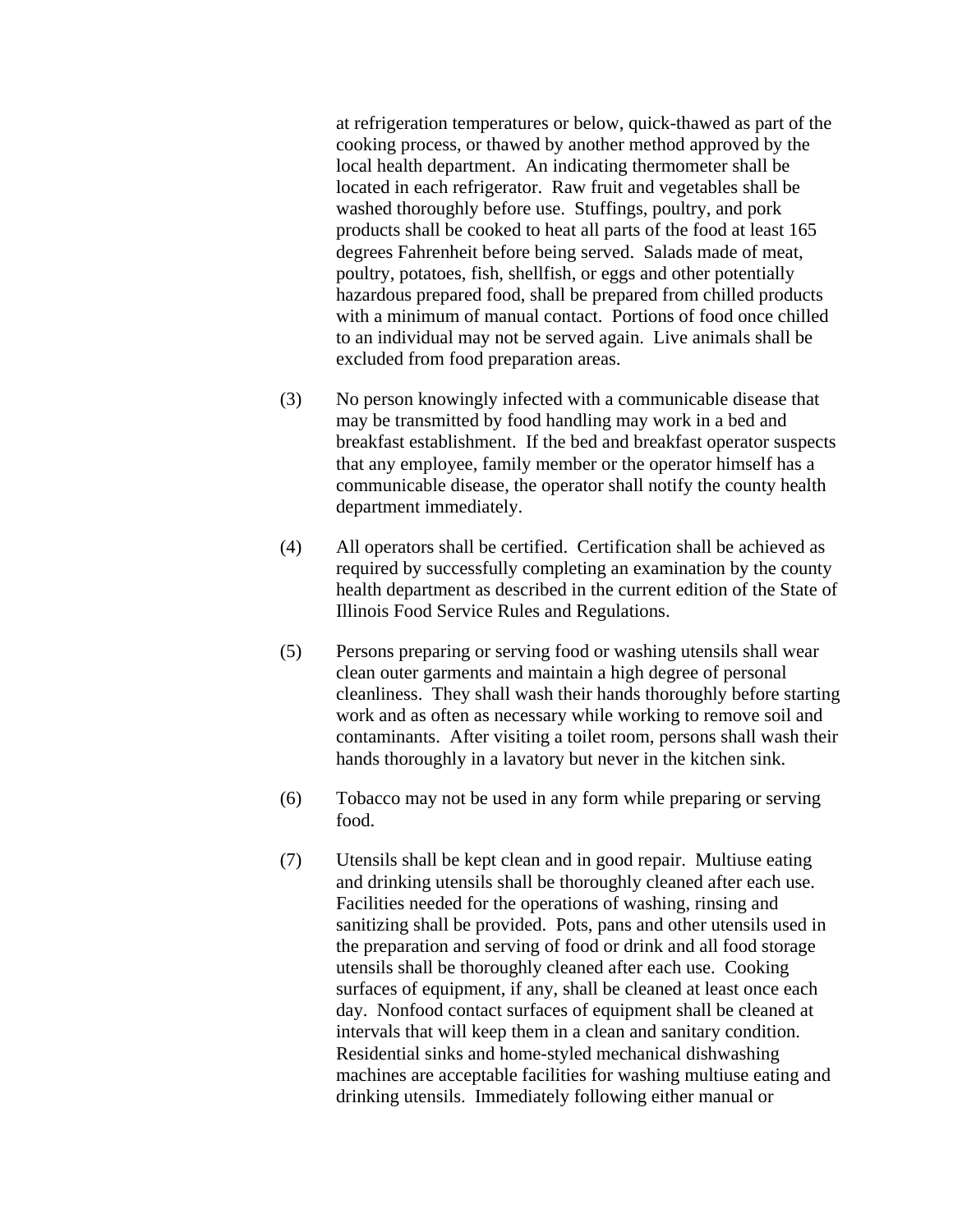at refrigeration temperatures or below, quick-thawed as part of the cooking process, or thawed by another method approved by the local health department. An indicating thermometer shall be located in each refrigerator. Raw fruit and vegetables shall be washed thoroughly before use. Stuffings, poultry, and pork products shall be cooked to heat all parts of the food at least 165 degrees Fahrenheit before being served. Salads made of meat, poultry, potatoes, fish, shellfish, or eggs and other potentially hazardous prepared food, shall be prepared from chilled products with a minimum of manual contact. Portions of food once chilled to an individual may not be served again. Live animals shall be excluded from food preparation areas.

- (3) No person knowingly infected with a communicable disease that may be transmitted by food handling may work in a bed and breakfast establishment. If the bed and breakfast operator suspects that any employee, family member or the operator himself has a communicable disease, the operator shall notify the county health department immediately.
- (4) All operators shall be certified. Certification shall be achieved as required by successfully completing an examination by the county health department as described in the current edition of the State of Illinois Food Service Rules and Regulations.
- (5) Persons preparing or serving food or washing utensils shall wear clean outer garments and maintain a high degree of personal cleanliness. They shall wash their hands thoroughly before starting work and as often as necessary while working to remove soil and contaminants. After visiting a toilet room, persons shall wash their hands thoroughly in a lavatory but never in the kitchen sink.
- (6) Tobacco may not be used in any form while preparing or serving food.
- (7) Utensils shall be kept clean and in good repair. Multiuse eating and drinking utensils shall be thoroughly cleaned after each use. Facilities needed for the operations of washing, rinsing and sanitizing shall be provided. Pots, pans and other utensils used in the preparation and serving of food or drink and all food storage utensils shall be thoroughly cleaned after each use. Cooking surfaces of equipment, if any, shall be cleaned at least once each day. Nonfood contact surfaces of equipment shall be cleaned at intervals that will keep them in a clean and sanitary condition. Residential sinks and home-styled mechanical dishwashing machines are acceptable facilities for washing multiuse eating and drinking utensils. Immediately following either manual or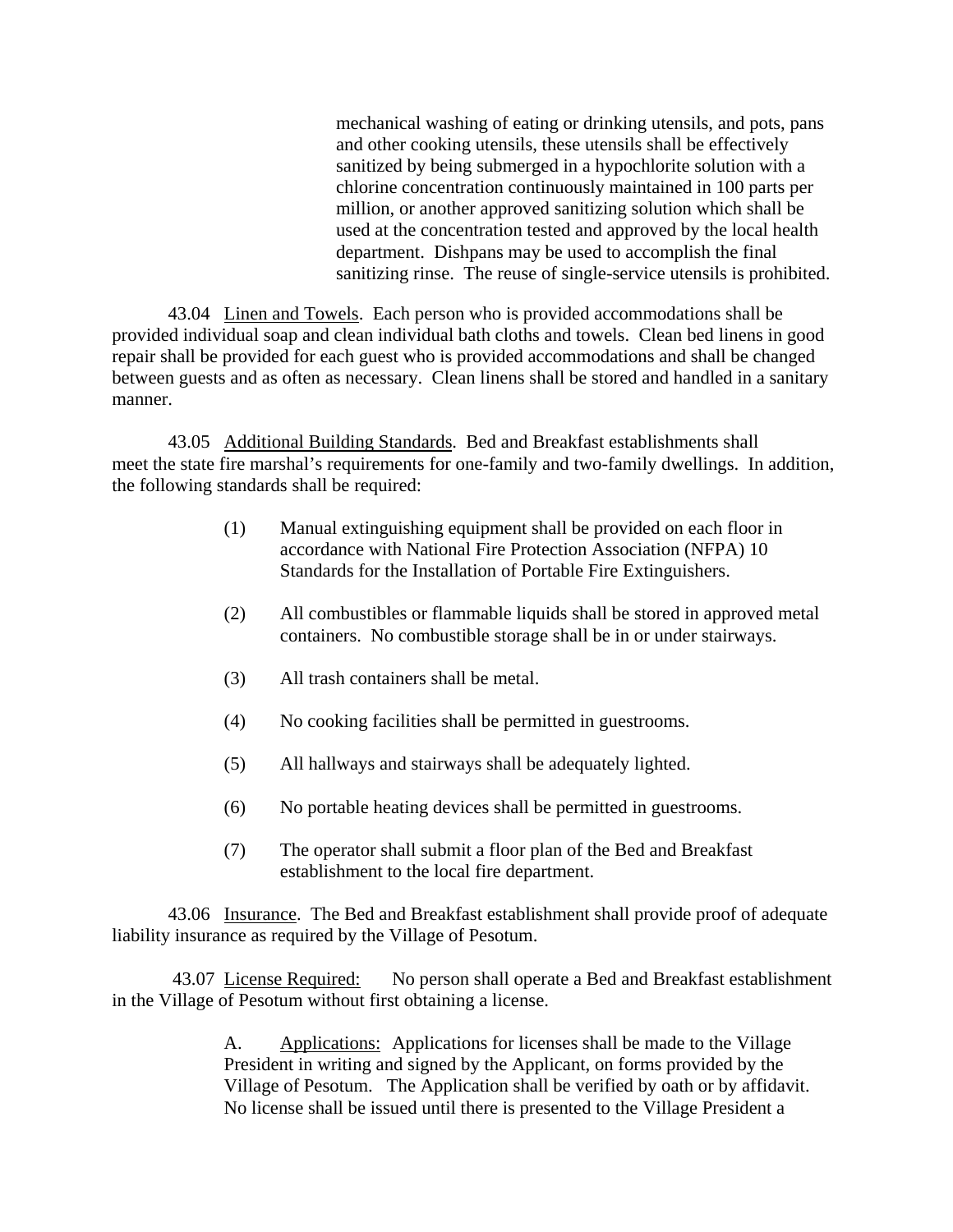mechanical washing of eating or drinking utensils, and pots, pans and other cooking utensils, these utensils shall be effectively sanitized by being submerged in a hypochlorite solution with a chlorine concentration continuously maintained in 100 parts per million, or another approved sanitizing solution which shall be used at the concentration tested and approved by the local health department. Dishpans may be used to accomplish the final sanitizing rinse. The reuse of single-service utensils is prohibited.

43.04 Linen and Towels. Each person who is provided accommodations shall be provided individual soap and clean individual bath cloths and towels. Clean bed linens in good repair shall be provided for each guest who is provided accommodations and shall be changed between guests and as often as necessary. Clean linens shall be stored and handled in a sanitary manner.

43.05 Additional Building Standards. Bed and Breakfast establishments shall meet the state fire marshal's requirements for one-family and two-family dwellings. In addition, the following standards shall be required:

- (1) Manual extinguishing equipment shall be provided on each floor in accordance with National Fire Protection Association (NFPA) 10 Standards for the Installation of Portable Fire Extinguishers.
- (2) All combustibles or flammable liquids shall be stored in approved metal containers. No combustible storage shall be in or under stairways.
- (3) All trash containers shall be metal.
- (4) No cooking facilities shall be permitted in guestrooms.
- (5) All hallways and stairways shall be adequately lighted.
- (6) No portable heating devices shall be permitted in guestrooms.
- (7) The operator shall submit a floor plan of the Bed and Breakfast establishment to the local fire department.

43.06 Insurance. The Bed and Breakfast establishment shall provide proof of adequate liability insurance as required by the Village of Pesotum.

 43.07 License Required: No person shall operate a Bed and Breakfast establishment in the Village of Pesotum without first obtaining a license.

> A. Applications: Applications for licenses shall be made to the Village President in writing and signed by the Applicant, on forms provided by the Village of Pesotum. The Application shall be verified by oath or by affidavit. No license shall be issued until there is presented to the Village President a